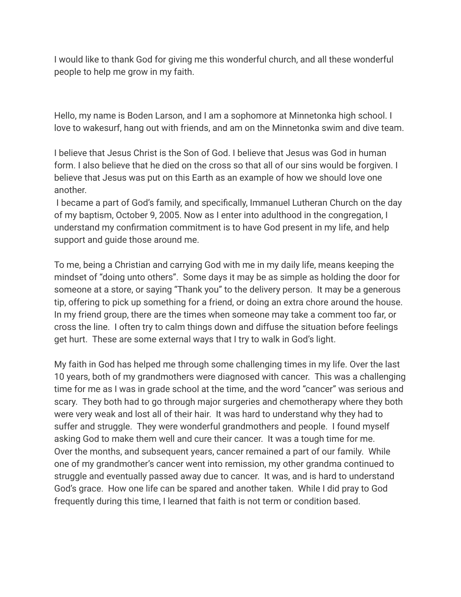I would like to thank God for giving me this wonderful church, and all these wonderful people to help me grow in my faith.

Hello, my name is Boden Larson, and I am a sophomore at Minnetonka high school. I love to wakesurf, hang out with friends, and am on the Minnetonka swim and dive team.

I believe that Jesus Christ is the Son of God. I believe that Jesus was God in human form. I also believe that he died on the cross so that all of our sins would be forgiven. I believe that Jesus was put on this Earth as an example of how we should love one another.

 I became a part of God's family, and specifically, Immanuel Lutheran Church on the day of my baptism, October 9, 2005. Now as I enter into adulthood in the congregation, I understand my confirmation commitment is to have God present in my life, and help support and guide those around me.

To me, being a Christian and carrying God with me in my daily life, means keeping the mindset of "doing unto others". Some days it may be as simple as holding the door for someone at a store, or saying "Thank you" to the delivery person. It may be a generous tip, offering to pick up something for a friend, or doing an extra chore around the house. In my friend group, there are the times when someone may take a comment too far, or cross the line. I often try to calm things down and diffuse the situation before feelings get hurt. These are some external ways that I try to walk in God's light.

My faith in God has helped me through some challenging times in my life. Over the last 10 years, both of my grandmothers were diagnosed with cancer. This was a challenging time for me as I was in grade school at the time, and the word "cancer" was serious and scary. They both had to go through major surgeries and chemotherapy where they both were very weak and lost all of their hair. It was hard to understand why they had to suffer and struggle. They were wonderful grandmothers and people. I found myself asking God to make them well and cure their cancer. It was a tough time for me. Over the months, and subsequent years, cancer remained a part of our family. While one of my grandmother's cancer went into remission, my other grandma continued to struggle and eventually passed away due to cancer. It was, and is hard to understand God's grace. How one life can be spared and another taken. While I did pray to God frequently during this time, I learned that faith is not term or condition based.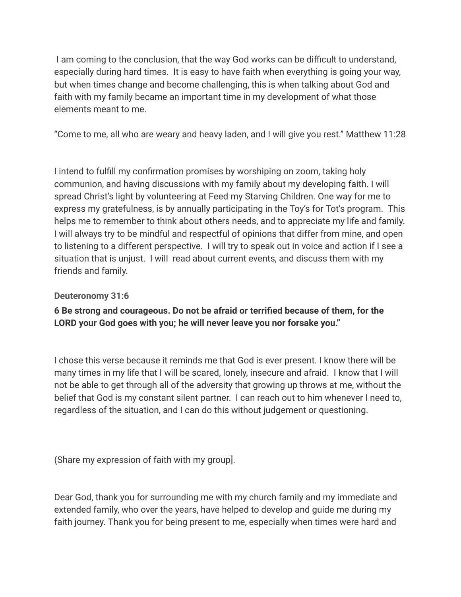I am coming to the conclusion, that the way God works can be difficult to understand, especially during hard times. It is easy to have faith when everything is going your way, but when times change and become challenging, this is when talking about God and faith with my family became an important time in my development of what those elements meant to me.

"Come to me, all who are weary and heavy laden, and I will give you rest." Matthew 11:28

I intend to fulfill my confirmation promises by worshiping on zoom, taking holy communion, and having discussions with my family about my developing faith. I will spread Christ's light by volunteering at Feed my Starving Children. One way for me to express my gratefulness, is by annually participating in the Toy's for Tot's program. This helps me to remember to think about others needs, and to appreciate my life and family. I will always try to be mindful and respectful of opinions that differ from mine, and open to listening to a different perspective. I will try to speak out in voice and action if I see a situation that is unjust. I will read about current events, and discuss them with my friends and family.

## **[Deuteronomy 31:6](https://www.biblestudytools.com/deuteronomy/31-6.html)**

## **6 Be strong and courageous. Do not be afraid or terrified because of them, for the LORD your God goes with you; he will never leave you nor forsake you."**

I chose this verse because it reminds me that God is ever present. I know there will be many times in my life that I will be scared, lonely, insecure and afraid. I know that I will not be able to get through all of the adversity that growing up throws at me, without the belief that God is my constant silent partner. I can reach out to him whenever I need to, regardless of the situation, and I can do this without judgement or questioning.

(Share my expression of faith with my group].

Dear God, thank you for surrounding me with my church family and my immediate and extended family, who over the years, have helped to develop and guide me during my faith journey. Thank you for being present to me, especially when times were hard and